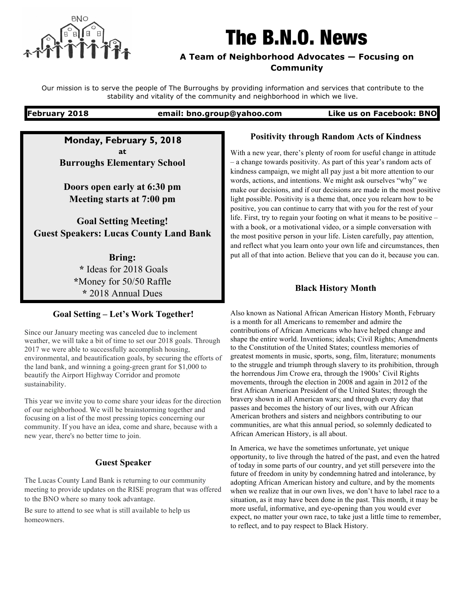

# The B.N.O. News

#### **A Team of Neighborhood Advocates — Focusing on Community**

Our mission is to serve the people of The Burroughs by providing information and services that contribute to the stability and vitality of the community and neighborhood in which we live.

**February 2018 email: bno.group@yahoo.com Like us on Facebook: BNO**

**Monday, February 5, 2018 at Burroughs Elementary School**

**Doors open early at 6:30 pm Meeting starts at 7:00 pm**

**Goal Setting Meeting! Guest Speakers: Lucas County Land Bank**

> **Bring: \*** Ideas for 2018 Goals **\***Money for 50/50 Raffle **\*** 2018 Annual Dues

### **Goal Setting – Let's Work Together!**

Since our January meeting was canceled due to inclement weather, we will take a bit of time to set our 2018 goals. Through 2017 we were able to successfully accomplish housing, environmental, and beautification goals, by securing the efforts of the land bank, and winning a going-green grant for \$1,000 to beautify the Airport Highway Corridor and promote sustainability.

This year we invite you to come share your ideas for the direction of our neighborhood. We will be brainstorming together and focusing on a list of the most pressing topics concerning our community. If you have an idea, come and share, because with a new year, there's no better time to join.

## **Guest Speaker**

The Lucas County Land Bank is returning to our community meeting to provide updates on the RISE program that was offered to the BNO where so many took advantage.

Be sure to attend to see what is still available to help us homeowners.

#### **Positivity through Random Acts of Kindness**

With a new year, there's plenty of room for useful change in attitude – a change towards positivity. As part of this year's random acts of kindness campaign, we might all pay just a bit more attention to our words, actions, and intentions. We might ask ourselves "why" we make our decisions, and if our decisions are made in the most positive light possible. Positivity is a theme that, once you relearn how to be positive, you can continue to carry that with you for the rest of your life. First, try to regain your footing on what it means to be positive – with a book, or a motivational video, or a simple conversation with the most positive person in your life. Listen carefully, pay attention, and reflect what you learn onto your own life and circumstances, then put all of that into action. Believe that you can do it, because you can.

### **Black History Month**

Also known as National African American History Month, February is a month for all Americans to remember and admire the contributions of African Americans who have helped change and shape the entire world. Inventions; ideals; Civil Rights; Amendments to the Constitution of the United States; countless memories of greatest moments in music, sports, song, film, literature; monuments to the struggle and triumph through slavery to its prohibition, through the horrendous Jim Crowe era, through the 1900s' Civil Rights movements, through the election in 2008 and again in 2012 of the first African American President of the United States; through the bravery shown in all American wars; and through every day that passes and becomes the history of our lives, with our African American brothers and sisters and neighbors contributing to our communities, are what this annual period, so solemnly dedicated to African American History, is all about.

In America, we have the sometimes unfortunate, yet unique opportunity, to live through the hatred of the past, and even the hatred of today in some parts of our country, and yet still persevere into the future of freedom in unity by condemning hatred and intolerance, by adopting African American history and culture, and by the moments when we realize that in our own lives, we don't have to label race to a situation, as it may have been done in the past. This month, it may be more useful, informative, and eye-opening than you would ever expect, no matter your own race, to take just a little time to remember, to reflect, and to pay respect to Black History.